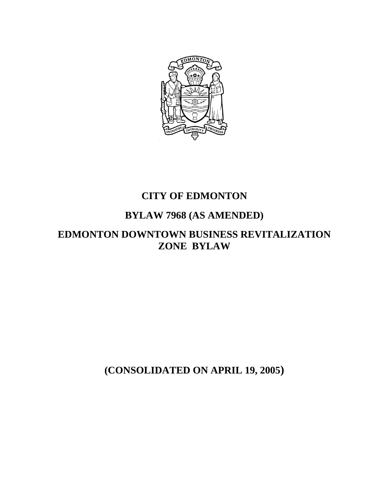

## **CITY OF EDMONTON**

# **BYLAW 7968 (AS AMENDED)**

## **EDMONTON DOWNTOWN BUSINESS REVITALIZATION ZONE BYLAW**

**(CONSOLIDATED ON APRIL 19, 2005)**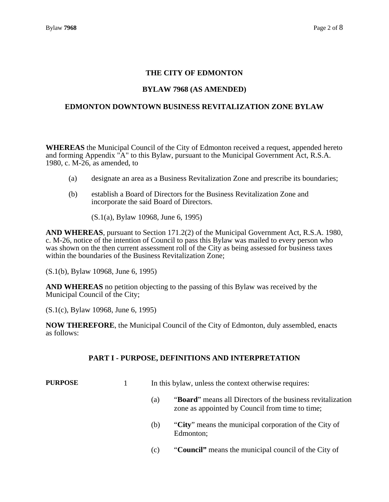## **THE CITY OF EDMONTON**

## **BYLAW 7968 (AS AMENDED)**

#### **EDMONTON DOWNTOWN BUSINESS REVITALIZATION ZONE BYLAW**

**WHEREAS** the Municipal Council of the City of Edmonton received a request, appended hereto and forming Appendix "A" to this Bylaw, pursuant to the Municipal Government Act, R.S.A. 1980, c. M-26, as amended, to

- (a) designate an area as a Business Revitalization Zone and prescribe its boundaries;
- (b) establish a Board of Directors for the Business Revitalization Zone and incorporate the said Board of Directors.

(S.1(a), Bylaw 10968, June 6, 1995)

**AND WHEREAS**, pursuant to Section 171.2(2) of the Municipal Government Act, R.S.A. 1980, c. M-26, notice of the intention of Council to pass this Bylaw was mailed to every person who was shown on the then current assessment roll of the City as being assessed for business taxes within the boundaries of the Business Revitalization Zone;

(S.1(b), Bylaw 10968, June 6, 1995)

**AND WHEREAS** no petition objecting to the passing of this Bylaw was received by the Municipal Council of the City;

(S.1(c), Bylaw 10968, June 6, 1995)

**NOW THEREFORE**, the Municipal Council of the City of Edmonton, duly assembled, enacts as follows:

#### **PART I - PURPOSE, DEFINITIONS AND INTERPRETATION**

**PURPOSE** 1 In this bylaw, unless the context otherwise requires:

- (a) "**Board**" means all Directors of the business revitalization zone as appointed by Council from time to time;
- (b) "**City**" means the municipal corporation of the City of Edmonton;
- (c) "**Council"** means the municipal council of the City of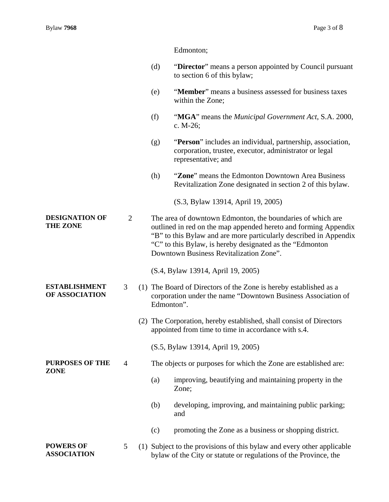Edmonton;

- (d) "**Director**" means a person appointed by Council pursuant to section 6 of this bylaw;
- (e) "**Member**" means a business assessed for business taxes within the Zone;
- (f) "**MGA**" means the *Municipal Government Act*, S.A. 2000, c. M-26;
- (g) "**Person**" includes an individual, partnership, association, corporation, trustee, executor, administrator or legal representative; and
- (h) "**Zone**" means the Edmonton Downtown Area Business Revitalization Zone designated in section 2 of this bylaw.

(S.3, Bylaw 13914, April 19, 2005)

**DESIGNATION OF THE ZONE**  2 The area of downtown Edmonton, the boundaries of which are outlined in red on the map appended hereto and forming Appendix "B" to this Bylaw and are more particularly described in Appendix "C" to this Bylaw, is hereby designated as the "Edmonton Downtown Business Revitalization Zone".

- (S.4, Bylaw 13914, April 19, 2005)
- 3 (1) The Board of Directors of the Zone is hereby established as a corporation under the name "Downtown Business Association of Edmonton".
	- (2) The Corporation, hereby established, shall consist of Directors appointed from time to time in accordance with s.4.

(S.5, Bylaw 13914, April 19, 2005)

### 4 The objects or purposes for which the Zone are established are:

- (a) improving, beautifying and maintaining property in the Zone;
- (b) developing, improving, and maintaining public parking; and
- (c) promoting the Zone as a business or shopping district.

5 (1) Subject to the provisions of this bylaw and every other applicable bylaw of the City or statute or regulations of the Province, the

**ESTABLISHMENT OF ASSOCIATION** 

**PURPOSES OF THE ZONE** 

**POWERS OF ASSOCIATION**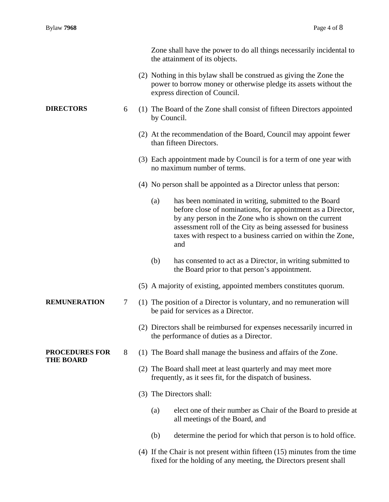|                                           |   |                                                                                                                            | Zone shall have the power to do all things necessarily incidental to<br>the attainment of its objects.                                                                                                                                                                                                             |
|-------------------------------------------|---|----------------------------------------------------------------------------------------------------------------------------|--------------------------------------------------------------------------------------------------------------------------------------------------------------------------------------------------------------------------------------------------------------------------------------------------------------------|
|                                           |   |                                                                                                                            | (2) Nothing in this bylaw shall be construed as giving the Zone the<br>power to borrow money or otherwise pledge its assets without the<br>express direction of Council.                                                                                                                                           |
| <b>DIRECTORS</b>                          | 6 | by Council.                                                                                                                | (1) The Board of the Zone shall consist of fifteen Directors appointed                                                                                                                                                                                                                                             |
|                                           |   |                                                                                                                            | (2) At the recommendation of the Board, Council may appoint fewer<br>than fifteen Directors.                                                                                                                                                                                                                       |
|                                           |   |                                                                                                                            | (3) Each appointment made by Council is for a term of one year with<br>no maximum number of terms.                                                                                                                                                                                                                 |
|                                           |   |                                                                                                                            | (4) No person shall be appointed as a Director unless that person:                                                                                                                                                                                                                                                 |
|                                           |   | (a)                                                                                                                        | has been nominated in writing, submitted to the Board<br>before close of nominations, for appointment as a Director,<br>by any person in the Zone who is shown on the current<br>assessment roll of the City as being assessed for business<br>taxes with respect to a business carried on within the Zone,<br>and |
|                                           |   | (b)                                                                                                                        | has consented to act as a Director, in writing submitted to<br>the Board prior to that person's appointment.                                                                                                                                                                                                       |
|                                           |   |                                                                                                                            | (5) A majority of existing, appointed members constitutes quorum.                                                                                                                                                                                                                                                  |
| <b>REMUNERATION</b>                       | 7 |                                                                                                                            | (1) The position of a Director is voluntary, and no remuneration will<br>be paid for services as a Director.                                                                                                                                                                                                       |
|                                           |   |                                                                                                                            | (2) Directors shall be reimbursed for expenses necessarily incurred in<br>the performance of duties as a Director.                                                                                                                                                                                                 |
| <b>PROCEDURES FOR</b><br><b>THE BOARD</b> | 8 |                                                                                                                            | (1) The Board shall manage the business and affairs of the Zone.                                                                                                                                                                                                                                                   |
|                                           |   | (2) The Board shall meet at least quarterly and may meet more<br>frequently, as it sees fit, for the dispatch of business. |                                                                                                                                                                                                                                                                                                                    |
|                                           |   |                                                                                                                            | (3) The Directors shall:                                                                                                                                                                                                                                                                                           |
|                                           |   | (a)                                                                                                                        | elect one of their number as Chair of the Board to preside at<br>all meetings of the Board, and                                                                                                                                                                                                                    |
|                                           |   | (b)                                                                                                                        | determine the period for which that person is to hold office.                                                                                                                                                                                                                                                      |
|                                           |   |                                                                                                                            | $(4)$ If the Chair is not present within fifteen $(15)$ minutes from the time<br>fixed for the holding of any meeting, the Directors present shall                                                                                                                                                                 |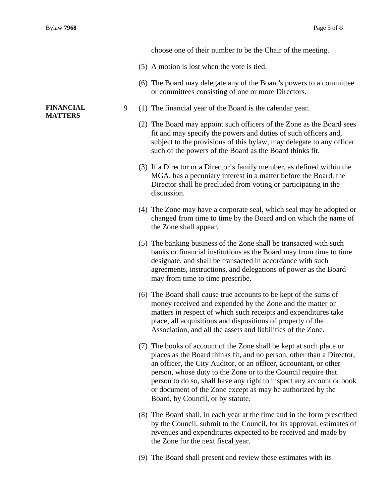choose one of their number to be the Chair of the meeting.

- (5) A motion is lost when the vote is tied.
- (6) The Board may delegate any of the Board's powers to a committee or committees consisting of one or more Directors.
- 9 (1) The financial year of the Board is the calendar year.
	- (2) The Board may appoint such officers of the Zone as the Board sees fit and may specify the powers and duties of such officers and, subject to the provisions of this bylaw, may delegate to any officer such of the powers of the Board as the Board thinks fit.
	- (3) If a Director or a Director's family member, as defined within the MGA, has a pecuniary interest in a matter before the Board, the Director shall be precluded from voting or participating in the discussion.
	- (4) The Zone may have a corporate seal, which seal may be adopted or changed from time to time by the Board and on which the name of the Zone shall appear.
	- (5) The banking business of the Zone shall be transacted with such banks or financial institutions as the Board may from time to time designate, and shall be transacted in accordance with such agreements, instructions, and delegations of power as the Board may from time to time prescribe.
	- (6) The Board shall cause true accounts to be kept of the sums of money received and expended by the Zone and the matter or matters in respect of which such receipts and expenditures take place, all acquisitions and dispositions of property of the Association, and all the assets and liabilities of the Zone.
	- (7) The books of account of the Zone shall be kept at such place or places as the Board thinks fit, and no person, other than a Director, an officer, the City Auditor, or an officer, accountant, or other person, whose duty to the Zone or to the Council require that person to do so, shall have any right to inspect any account or book or document of the Zone except as may be authorized by the Board, by Council, or by statute.
	- (8) The Board shall, in each year at the time and in the form prescribed by the Council, submit to the Council, for its approval, estimates of revenues and expenditures expected to be received and made by the Zone for the next fiscal year.
	- (9) The Board shall present and review these estimates with its

#### **FINANCIAL MATTERS**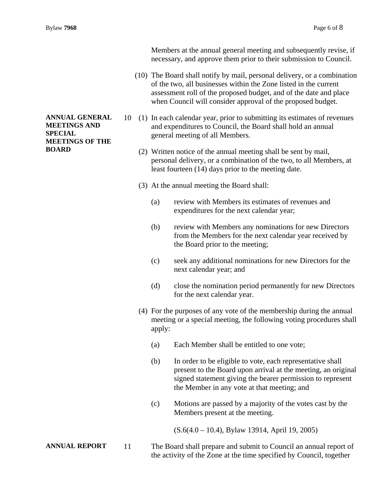Members at the annual general meeting and subsequently revise, if necessary, and approve them prior to their submission to Council.

- (10) The Board shall notify by mail, personal delivery, or a combination of the two, all businesses within the Zone listed in the current assessment roll of the proposed budget, and of the date and place when Council will consider approval of the proposed budget.
- 10 (1) In each calendar year, prior to submitting its estimates of revenues and expenditures to Council, the Board shall hold an annual general meeting of all Members.
	- (2) Written notice of the annual meeting shall be sent by mail, personal delivery, or a combination of the two, to all Members, at least fourteen (14) days prior to the meeting date.
	- (3) At the annual meeting the Board shall:
		- (a) review with Members its estimates of revenues and expenditures for the next calendar year;
		- (b) review with Members any nominations for new Directors from the Members for the next calendar year received by the Board prior to the meeting;
		- (c) seek any additional nominations for new Directors for the next calendar year; and
		- (d) close the nomination period permanently for new Directors for the next calendar year.
	- (4) For the purposes of any vote of the membership during the annual meeting or a special meeting, the following voting procedures shall apply:
		- (a) Each Member shall be entitled to one vote;
		- (b) In order to be eligible to vote, each representative shall present to the Board upon arrival at the meeting, an original signed statement giving the bearer permission to represent the Member in any vote at that meeting; and
		- (c) Motions are passed by a majority of the votes cast by the Members present at the meeting.

(S.6(4.0 – 10.4), Bylaw 13914, April 19, 2005)

**ANNUAL REPORT** 11 The Board shall prepare and submit to Council an annual report of the activity of the Zone at the time specified by Council, together

## **ANNUAL GENERAL MEETINGS AND SPECIAL MEETINGS OF THE BOARD**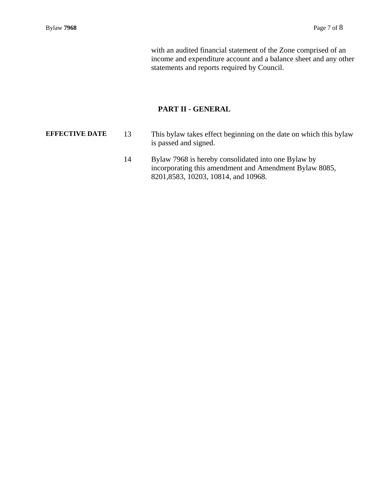with an audited financial statement of the Zone comprised of an income and expenditure account and a balance sheet and any other statements and reports required by Council.

## **PART II - GENERAL**

- **EFFECTIVE DATE** 13 This bylaw takes effect beginning on the date on which this bylaw is passed and signed.
	- 14 Bylaw 7968 is hereby consolidated into one Bylaw by incorporating this amendment and Amendment Bylaw 8085, 8201,8583, 10203, 10814, and 10968.